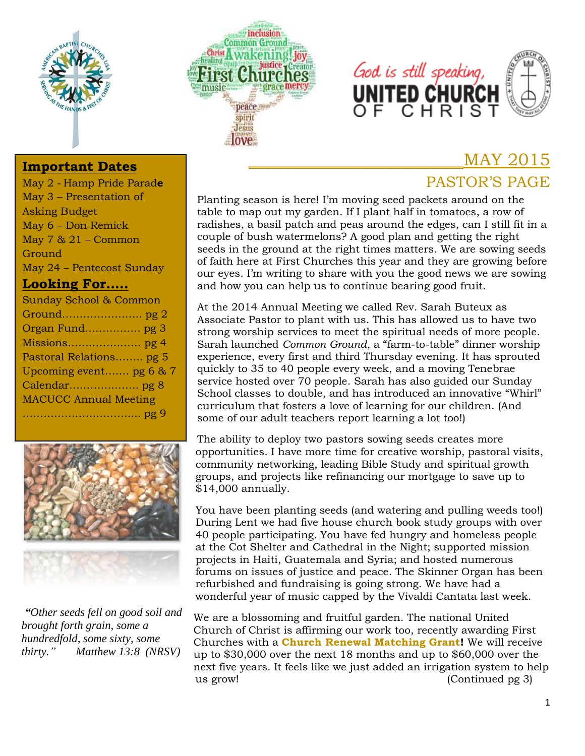





#### **Important Dates**

May 2 - Hamp Pride Parad**e** May 3 – Presentation of Asking Budget May 6 – Don Remick May  $7 & 21$  – Common Ground May 24 – Pentecost Sunday

#### **Looking For…..**





*"Other seeds fell on good soil and brought forth grain, some a hundredfold, some sixty, some thirty." Matthew 13:8 (NRSV)*

Planting season is here! I'm moving seed packets around on the table to map out my garden. If I plant half in tomatoes, a row of radishes, a basil patch and peas around the edges, can I still fit in a couple of bush watermelons? A good plan and getting the right seeds in the ground at the right times matters. We are sowing seeds of faith here at First Churches this year and they are growing before our eyes. I'm writing to share with you the good news we are sowing and how you can help us to continue bearing good fruit.

At the 2014 Annual Meeting we called Rev. Sarah Buteux as Associate Pastor to plant with us. This has allowed us to have two strong worship services to meet the spiritual needs of more people. Sarah launched *Common Ground*, a "farm-to-table" dinner worship experience, every first and third Thursday evening. It has sprouted quickly to 35 to 40 people every week, and a moving Tenebrae service hosted over 70 people. Sarah has also guided our Sunday School classes to double, and has introduced an innovative "Whirl" curriculum that fosters a love of learning for our children. (And some of our adult teachers report learning a lot too!)

The ability to deploy two pastors sowing seeds creates more opportunities. I have more time for creative worship, pastoral visits, community networking, leading Bible Study and spiritual growth groups, and projects like refinancing our mortgage to save up to \$14,000 annually.

You have been planting seeds (and watering and pulling weeds too!) During Lent we had five house church book study groups with over 40 people participating. You have fed hungry and homeless people at the Cot Shelter and Cathedral in the Night; supported mission projects in Haiti, Guatemala and Syria; and hosted numerous forums on issues of justice and peace. The Skinner Organ has been refurbished and fundraising is going strong. We have had a wonderful year of music capped by the Vivaldi Cantata last week.

We are a blossoming and fruitful garden. The national United Church of Christ is affirming our work too, recently awarding First Churches with a **Church Renewal Matching Grant!** We will receive up to \$30,000 over the next 18 months and up to \$60,000 over the next five years. It feels like we just added an irrigation system to help us grow! (Continued pg 3)

# PASTOR'S PAGE

\_\_\_\_\_\_\_\_\_\_\_\_\_\_\_\_\_\_\_\_\_\_\_\_\_MAY 2015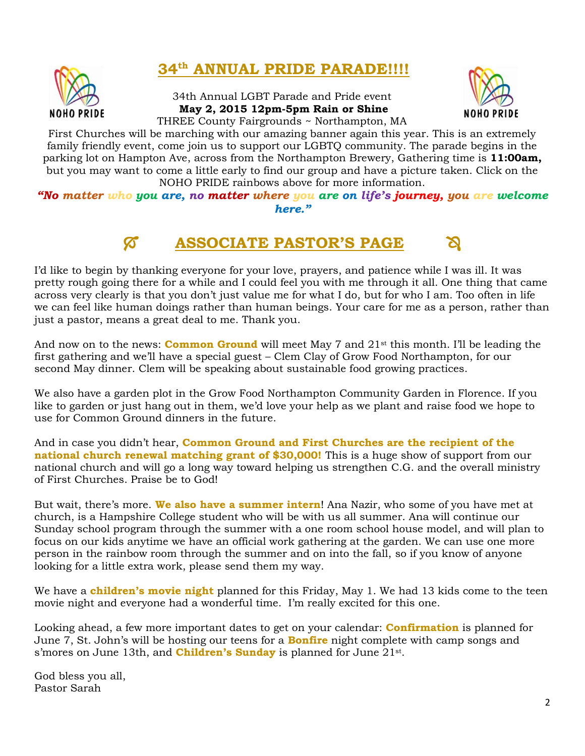

# **34th ANNUAL PRIDE PARADE!!!!**

34th Annual LGBT Parade and Pride event **May 2, 2015 12pm-5pm Rain or Shine** THREE County Fairgrounds ~ Northampton, MA



First Churches will be marching with our amazing banner again this year. This is an extremely family friendly event, come join us to support our LGBTQ community. The parade begins in the parking lot on Hampton Ave, across from the Northampton Brewery, Gathering time is **11:00am,** but you may want to come a little early to find our group and have a picture taken. Click on the NOHO PRIDE rainbows above for more information.

*"No matter who you are, no matter where you are on life's journey, you are welcome here."*

# **ASSOCIATE PASTOR'S PAGE**

I'd like to begin by thanking everyone for your love, prayers, and patience while I was ill. It was pretty rough going there for a while and I could feel you with me through it all. One thing that came across very clearly is that you don't just value me for what I do, but for who I am. Too often in life we can feel like human doings rather than human beings. Your care for me as a person, rather than just a pastor, means a great deal to me. Thank you.

And now on to the news: **Common Ground** will meet May 7 and 21st this month. I'll be leading the first gathering and we'll have a special guest – Clem Clay of Grow Food Northampton, for our second May dinner. Clem will be speaking about sustainable food growing practices.

We also have a garden plot in the Grow Food Northampton Community Garden in Florence. If you like to garden or just hang out in them, we'd love your help as we plant and raise food we hope to use for Common Ground dinners in the future.

And in case you didn't hear, **Common Ground and First Churches are the recipient of the national church renewal matching grant of \$30,000!** This is a huge show of support from our national church and will go a long way toward helping us strengthen C.G. and the overall ministry of First Churches. Praise be to God!

But wait, there's more. **We also have a summer intern**! Ana Nazir, who some of you have met at church, is a Hampshire College student who will be with us all summer. Ana will continue our Sunday school program through the summer with a one room school house model, and will plan to focus on our kids anytime we have an official work gathering at the garden. We can use one more person in the rainbow room through the summer and on into the fall, so if you know of anyone looking for a little extra work, please send them my way.

We have a **children's movie night** planned for this Friday, May 1. We had 13 kids come to the teen movie night and everyone had a wonderful time. I'm really excited for this one.

Looking ahead, a few more important dates to get on your calendar: **Confirmation** is planned for June 7, St. John's will be hosting our teens for a **Bonfire** night complete with camp songs and s'mores on June 13th, and **Children's Sunday** is planned for June 21st.

God bless you all, Pastor Sarah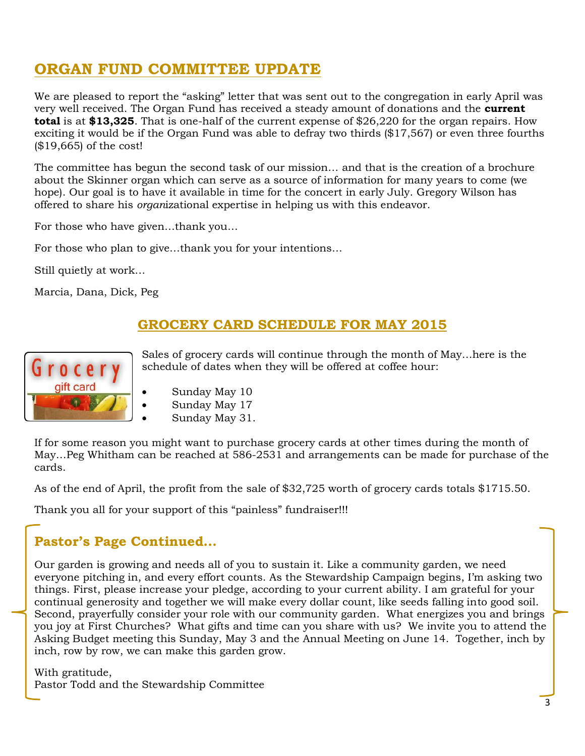# **ORGAN FUND COMMITTEE UPDATE**

We are pleased to report the "asking" letter that was sent out to the congregation in early April was very well received. The Organ Fund has received a steady amount of donations and the **current total** is at **\$13,325**. That is one-half of the current expense of \$26,220 for the organ repairs. How exciting it would be if the Organ Fund was able to defray two thirds (\$17,567) or even three fourths (\$19,665) of the cost!

The committee has begun the second task of our mission… and that is the creation of a brochure about the Skinner organ which can serve as a source of information for many years to come (we hope). Our goal is to have it available in time for the concert in early July. Gregory Wilson has offered to share his *organ*izational expertise in helping us with this endeavor.

For those who have given…thank you…

For those who plan to give…thank you for your intentions…

Still quietly at work…

Marcia, Dana, Dick, Peg

#### **GROCERY CARD SCHEDULE FOR MAY 2015**



Sales of grocery cards will continue through the month of May…here is the schedule of dates when they will be offered at coffee hour:

- Sunday May 10
- Sunday May 17
- Sunday May 31.

If for some reason you might want to purchase grocery cards at other times during the month of May…Peg Whitham can be reached at 586-2531 and arrangements can be made for purchase of the cards.

As of the end of April, the profit from the sale of \$32,725 worth of grocery cards totals \$1715.50.

Thank you all for your support of this "painless" fundraiser!!!

#### **Pastor's Page Continued…**

Our garden is growing and needs all of you to sustain it. Like a community garden, we need everyone pitching in, and every effort counts. As the Stewardship Campaign begins, I'm asking two things. First, please increase your pledge, according to your current ability. I am grateful for your continual generosity and together we will make every dollar count, like seeds falling into good soil. Second, prayerfully consider your role with our community garden. What energizes you and brings you joy at First Churches? What gifts and time can you share with us? We invite you to attend the Asking Budget meeting this Sunday, May 3 and the Annual Meeting on June 14. Together, inch by inch, row by row, we can make this garden grow.

With gratitude, Pastor Todd and the Stewardship Committee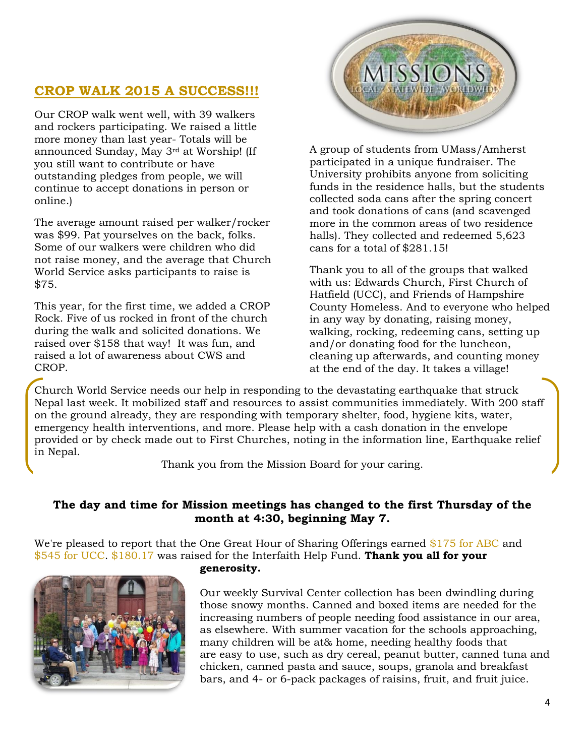#### **CROP WALK 2015 A SUCCESS!!!**

Our CROP walk went well, with 39 walkers and rockers participating. We raised a little more money than last year- Totals will be announced Sunday, May 3rd at Worship! (If you still want to contribute or have outstanding pledges from people, we will continue to accept donations in person or online.)

The average amount raised per walker/rocker was \$99. Pat yourselves on the back, folks. Some of our walkers were children who did not raise money, and the average that Church World Service asks participants to raise is \$75.

This year, for the first time, we added a CROP Rock. Five of us rocked in front of the church during the walk and solicited donations. We raised over \$158 that way! It was fun, and raised a lot of awareness about CWS and CROP.



A group of students from UMass/Amherst participated in a unique fundraiser. The University prohibits anyone from soliciting funds in the residence halls, but the students collected soda cans after the spring concert and took donations of cans (and scavenged more in the common areas of two residence halls). They collected and redeemed 5,623 cans for a total of \$281.15!

Thank you to all of the groups that walked with us: Edwards Church, First Church of Hatfield (UCC), and Friends of Hampshire County Homeless. And to everyone who helped in any way by donating, raising money, walking, rocking, redeeming cans, setting up and/or donating food for the luncheon, cleaning up afterwards, and counting money at the end of the day. It takes a village!

Church World Service needs our help in responding to the devastating earthquake that struck Nepal last week. It mobilized staff and resources to assist communities immediately. With 200 staff on the ground already, they are responding with temporary shelter, food, hygiene kits, water, emergency health interventions, and more. Please help with a cash donation in the envelope provided or by check made out to First Churches, noting in the information line, Earthquake relief in Nepal.

Thank you from the Mission Board for your caring.

#### **The day and time for Mission meetings has changed to the first Thursday of the month at 4:30, beginning May 7.**

We're pleased to report that the One Great Hour of Sharing Offerings earned \$175 for ABC and \$545 for UCC. \$180.17 was raised for the Interfaith Help Fund. **Thank you all for your** 



#### **generosity.**

Our weekly Survival Center collection has been dwindling during those snowy months. Canned and boxed items are needed for the increasing numbers of people needing food assistance in our area, as elsewhere. With summer vacation for the schools approaching, many children will be at& home, needing healthy foods that are easy to use, such as dry cereal, peanut butter, canned tuna and chicken, canned pasta and sauce, soups, granola and breakfast bars, and 4- or 6-pack packages of raisins, fruit, and fruit juice.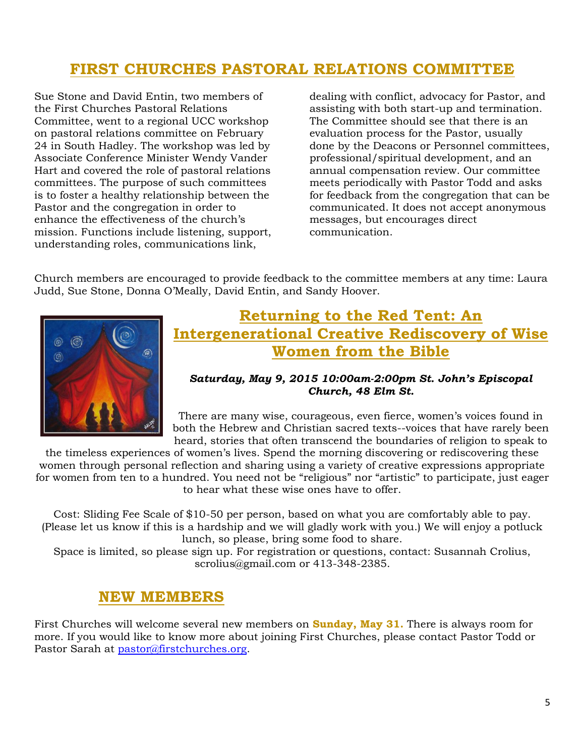# **FIRST CHURCHES PASTORAL RELATIONS COMMITTEE**

Sue Stone and David Entin, two members of the First Churches Pastoral Relations Committee, went to a regional UCC workshop on pastoral relations committee on February 24 in South Hadley. The workshop was led by Associate Conference Minister Wendy Vander Hart and covered the role of pastoral relations committees. The purpose of such committees is to foster a healthy relationship between the Pastor and the congregation in order to enhance the effectiveness of the church's mission. Functions include listening, support, understanding roles, communications link,

dealing with conflict, advocacy for Pastor, and assisting with both start-up and termination. The Committee should see that there is an evaluation process for the Pastor, usually done by the Deacons or Personnel committees, professional/spiritual development, and an annual compensation review. Our committee meets periodically with Pastor Todd and asks for feedback from the congregation that can be communicated. It does not accept anonymous messages, but encourages direct communication.

Church members are encouraged to provide feedback to the committee members at any time: Laura Judd, Sue Stone, Donna O'Meally, David Entin, and Sandy Hoover.



# **Returning to the Red Tent: An Intergenerational Creative Rediscovery of Wise Women from the Bible**

#### *Saturday, May 9, 2015 10:00am-2:00pm St. John's Episcopal Church, 48 Elm St.*

There are many wise, courageous, even fierce, women's voices found in both the Hebrew and Christian sacred texts--voices that have rarely been heard, stories that often transcend the boundaries of religion to speak to

the timeless experiences of women's lives. Spend the morning discovering or rediscovering these women through personal reflection and sharing using a variety of creative expressions appropriate for women from ten to a hundred. You need not be "religious" nor "artistic" to participate, just eager to hear what these wise ones have to offer.

Cost: Sliding Fee Scale of \$10-50 per person, based on what you are comfortably able to pay. (Please let us know if this is a hardship and we will gladly work with you.) We will enjoy a potluck lunch, so please, bring some food to share.

Space is limited, so please sign up. For registration or questions, contact: Susannah Crolius, scrolius@gmail.com or 413-348-2385.

#### **NEW MEMBERS**

First Churches will welcome several new members on **Sunday, May 31.** There is always room for more. If you would like to know more about joining First Churches, please contact Pastor Todd or Pastor Sarah at [pastor@firstchurches.org.](mailto:pastor@firstchurches.org)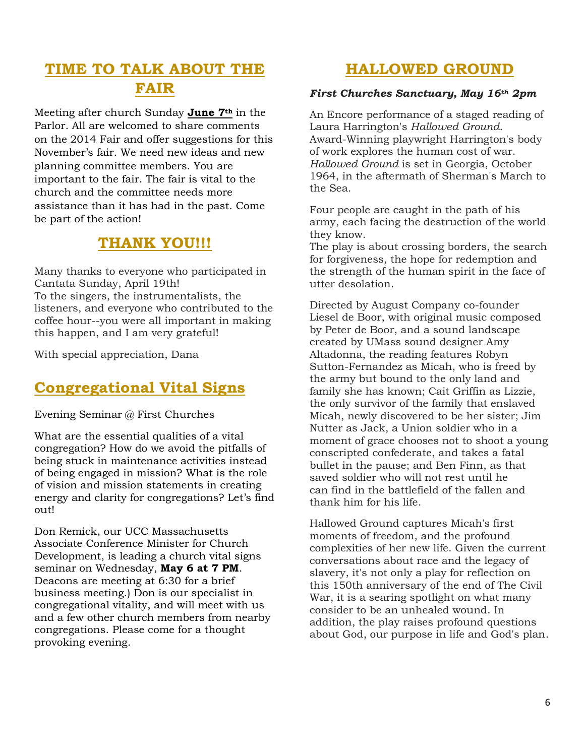# **TIME TO TALK ABOUT THE FAIR**

Meeting after church Sunday **June 7th** in the Parlor. All are welcomed to share comments on the 2014 Fair and offer suggestions for this November's fair. We need new ideas and new planning committee members. You are important to the fair. The fair is vital to the church and the committee needs more assistance than it has had in the past. Come be part of the action!

# **THANK YOU!!!**

Many thanks to everyone who participated in Cantata Sunday, April 19th! To the singers, the instrumentalists, the listeners, and everyone who contributed to the coffee hour--you were all important in making this happen, and I am very grateful!

With special appreciation, Dana

# **Congregational Vital Signs**

Evening Seminar @ First Churches

What are the essential qualities of a vital congregation? How do we avoid the pitfalls of being stuck in maintenance activities instead of being engaged in mission? What is the role of vision and mission statements in creating energy and clarity for congregations? Let's find out!

Don Remick, our UCC Massachusetts Associate Conference Minister for Church Development, is leading a church vital signs seminar on Wednesday, **May 6 at 7 PM**. Deacons are meeting at 6:30 for a brief business meeting.) Don is our specialist in congregational vitality, and will meet with us and a few other church members from nearby congregations. Please come for a thought provoking evening.

# **HALLOWED GROUND**

#### *First Churches Sanctuary, May 16th 2pm*

An Encore performance of a staged reading of Laura Harrington's *Hallowed Ground*. Award-Winning playwright Harrington's body of work explores the human cost of war. *Hallowed Ground* is set in Georgia, October 1964, in the aftermath of Sherman's March to the Sea.

Four people are caught in the path of his army, each facing the destruction of the world they know.

The play is about crossing borders, the search for forgiveness, the hope for redemption and the strength of the human spirit in the face of utter desolation.

Directed by August Company co-founder Liesel de Boor, with original music composed by Peter de Boor, and a sound landscape created by UMass sound designer Amy Altadonna, the reading features Robyn Sutton-Fernandez as Micah, who is freed by the army but bound to the only land and family she has known; Cait Griffin as Lizzie, the only survivor of the family that enslaved Micah, newly discovered to be her sister; Jim Nutter as Jack, a Union soldier who in a moment of grace chooses not to shoot a young conscripted confederate, and takes a fatal bullet in the pause; and Ben Finn, as that saved soldier who will not rest until he can find in the battlefield of the fallen and thank him for his life.

Hallowed Ground captures Micah's first moments of freedom, and the profound complexities of her new life. Given the current conversations about race and the legacy of slavery, it's not only a play for reflection on this 150th anniversary of the end of The Civil War, it is a searing spotlight on what many consider to be an unhealed wound. In addition, the play raises profound questions about God, our purpose in life and God's plan.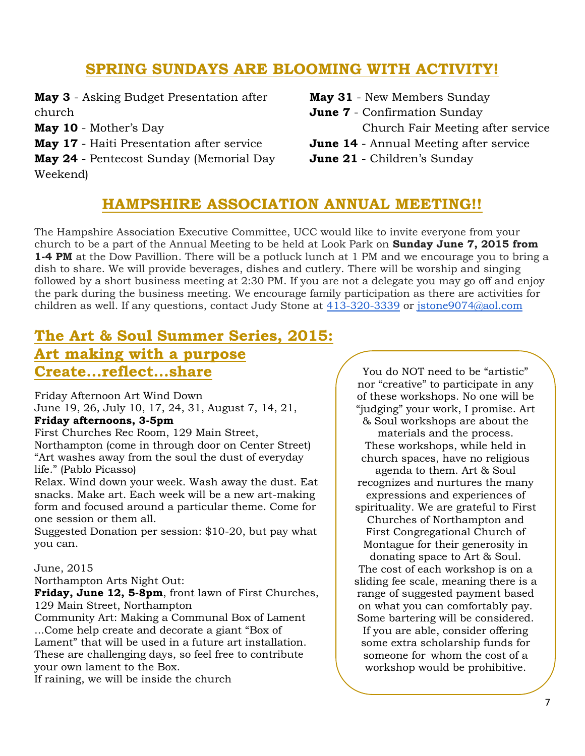# **SPRING SUNDAYS ARE BLOOMING WITH ACTIVITY!**

**May 3** - Asking Budget Presentation after church

**May 10** - Mother's Day

**May 17** - Haiti Presentation after service

**May 24** - Pentecost Sunday (Memorial Day Weekend)

**May 31** - New Members Sunday **June 7** - Confirmation Sunday Church Fair Meeting after service **June 14** - Annual Meeting after service **June 21** - Children's Sunday

# **HAMPSHIRE ASSOCIATION ANNUAL MEETING!!**

The Hampshire Association Executive Committee, UCC would like to invite everyone from your church to be a part of the Annual Meeting to be held at Look Park on **Sunday June 7, 2015 from 1-4 PM** at the Dow Pavillion. There will be a potluck lunch at 1 PM and we encourage you to bring a dish to share. We will provide beverages, dishes and cutlery. There will be worship and singing followed by a short business meeting at 2:30 PM. If you are not a delegate you may go off and enjoy the park during the business meeting. We encourage family participation as there are activities for children as well. If any questions, contact Judy Stone at [413-320-3339](tel:413-320-3339) or [jstone9074@aol.com](mailto:jstone9074@aol.com)

# **The Art & Soul Summer Series, 2015: Art making with a purpose**

# **Create...reflect...share**

Friday Afternoon Art Wind Down June 19, 26, July 10, 17, 24, 31, August 7, 14, 21, **Friday afternoons, 3-5pm** 

First Churches Rec Room, 129 Main Street, Northampton (come in through door on Center Street) "Art washes away from the soul the dust of everyday life." (Pablo Picasso)

Relax. Wind down your week. Wash away the dust. Eat snacks. Make art. Each week will be a new art-making form and focused around a particular theme. Come for one session or them all.

Suggested Donation per session: \$10-20, but pay what you can.

#### June, 2015

Northampton Arts Night Out:

**Friday, June 12, 5-8pm**, front lawn of First Churches, 129 Main Street, Northampton

Community Art: Making a Communal Box of Lament ...Come help create and decorate a giant "Box of Lament" that will be used in a future art installation. These are challenging days, so feel free to contribute your own lament to the Box.

If raining, we will be inside the church

You do NOT need to be "artistic" nor "creative" to participate in any of these workshops. No one will be "judging" your work, I promise. Art & Soul workshops are about the materials and the process. These workshops, while held in church spaces, have no religious agenda to them. Art & Soul recognizes and nurtures the many expressions and experiences of spirituality. We are grateful to First Churches of Northampton and First Congregational Church of Montague for their generosity in donating space to Art & Soul. The cost of each workshop is on a sliding fee scale, meaning there is a range of suggested payment based on what you can comfortably pay. Some bartering will be considered. If you are able, consider offering some extra scholarship funds for someone for whom the cost of a workshop would be prohibitive.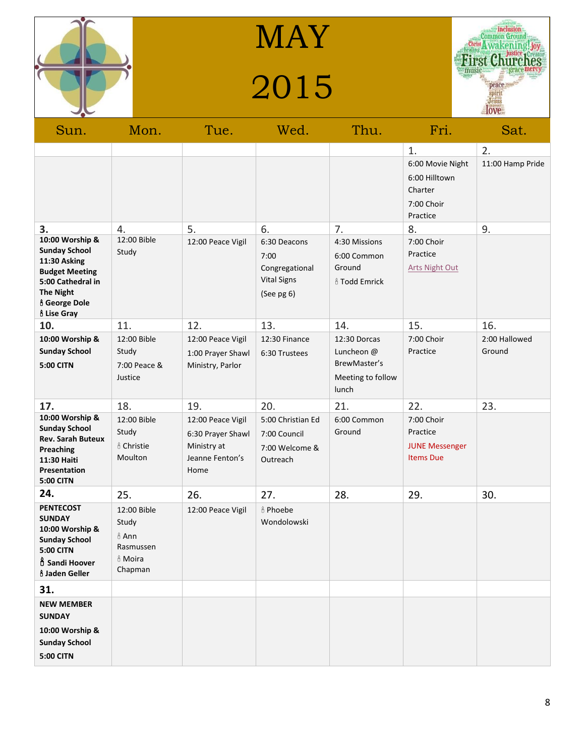

MAY

# 2015



| Sun.                                                                                                                                                                           | Mon.                                                                                 | Tue.                                                                                    | Wed.                                                                       | Thu.                                                                             | Fri.                                                                               | Sat.                           |
|--------------------------------------------------------------------------------------------------------------------------------------------------------------------------------|--------------------------------------------------------------------------------------|-----------------------------------------------------------------------------------------|----------------------------------------------------------------------------|----------------------------------------------------------------------------------|------------------------------------------------------------------------------------|--------------------------------|
| 3.                                                                                                                                                                             |                                                                                      | 5.                                                                                      | 6.                                                                         | 7.                                                                               | 1.<br>6:00 Movie Night<br>6:00 Hilltown<br>Charter<br>7:00 Choir<br>Practice<br>8. | 2.<br>11:00 Hamp Pride<br>9.   |
| 10:00 Worship &<br><b>Sunday School</b><br>11:30 Asking<br><b>Budget Meeting</b><br>5:00 Cathedral in<br><b>The Night</b><br><b>ô George Dole</b><br><b><i>ô</i></b> Lise Gray | 4.<br>12:00 Bible<br>Study                                                           | 12:00 Peace Vigil                                                                       | 6:30 Deacons<br>7:00<br>Congregational<br><b>Vital Signs</b><br>(See pg 6) | 4:30 Missions<br>6:00 Common<br>Ground<br><sub><i><b>å</b></i> Todd Emrick</sub> | 7:00 Choir<br>Practice<br><b>Arts Night Out</b>                                    |                                |
| 10.<br>10:00 Worship &<br><b>Sunday School</b><br><b>5:00 CITN</b>                                                                                                             | 11.<br>12:00 Bible<br>Study<br>7:00 Peace &<br>Justice                               | 12.<br>12:00 Peace Vigil<br>1:00 Prayer Shawl<br>Ministry, Parlor                       | 13.<br>12:30 Finance<br>6:30 Trustees                                      | 14.<br>12:30 Dorcas<br>Luncheon @<br>BrewMaster's<br>Meeting to follow<br>lunch  | 15.<br>7:00 Choir<br>Practice                                                      | 16.<br>2:00 Hallowed<br>Ground |
| 17.<br>10:00 Worship &<br><b>Sunday School</b><br>Rev. Sarah Buteux<br>Preaching<br>11:30 Haiti<br>Presentation<br><b>5:00 CITN</b>                                            | 18.<br>12:00 Bible<br>Study<br><sub>n</sub> <sup>8</sup> Christie<br>Moulton         | 19.<br>12:00 Peace Vigil<br>6:30 Prayer Shawl<br>Ministry at<br>Jeanne Fenton's<br>Home | 20.<br>5:00 Christian Ed<br>7:00 Council<br>7:00 Welcome &<br>Outreach     | 21.<br>6:00 Common<br>Ground                                                     | 22.<br>7:00 Choir<br>Practice<br><b>JUNE Messenger</b><br><b>Items Due</b>         | 23.                            |
| 24.<br><b>PENTECOST</b><br><b>SUNDAY</b><br>10:00 Worship &<br><b>Sunday School</b><br><b>5:00 CITN</b><br><b>D</b> Sandi Hoover<br><b><i>å Jaden Geller</i></b>               | 25.<br>12:00 Bible<br>Study<br>$6$ Ann<br>Rasmussen<br><sub>ů</sub> Moira<br>Chapman | 26.<br>12:00 Peace Vigil                                                                | 27.<br><b>&amp; Phoebe</b><br>Wondolowski                                  | 28.                                                                              | 29.                                                                                | 30.                            |
| 31.<br><b>NEW MEMBER</b><br><b>SUNDAY</b><br>10:00 Worship &<br><b>Sunday School</b><br><b>5:00 CITN</b>                                                                       |                                                                                      |                                                                                         |                                                                            |                                                                                  |                                                                                    |                                |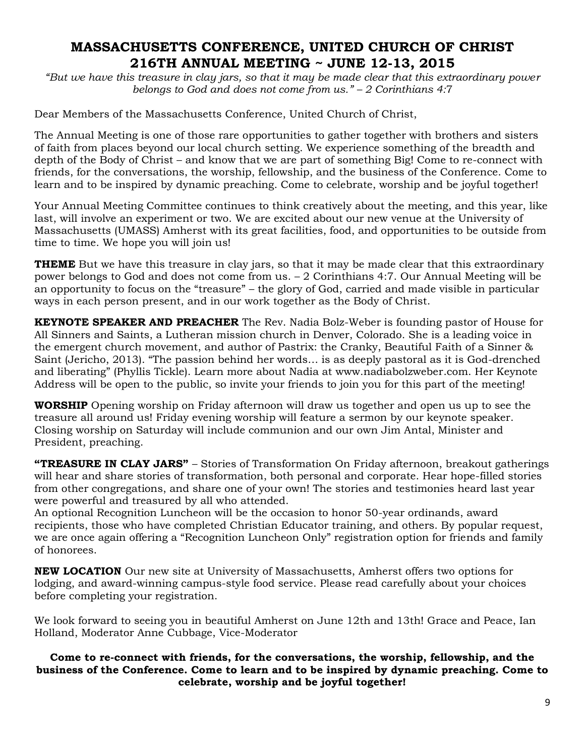#### **MASSACHUSETTS CONFERENCE, UNITED CHURCH OF CHRIST 216TH ANNUAL MEETING ~ JUNE 12-13, 2015**

*"But we have this treasure in clay jars, so that it may be made clear that this extraordinary power belongs to God and does not come from us." – 2 Corinthians 4:*7

Dear Members of the Massachusetts Conference, United Church of Christ,

The Annual Meeting is one of those rare opportunities to gather together with brothers and sisters of faith from places beyond our local church setting. We experience something of the breadth and depth of the Body of Christ – and know that we are part of something Big! Come to re-connect with friends, for the conversations, the worship, fellowship, and the business of the Conference. Come to learn and to be inspired by dynamic preaching. Come to celebrate, worship and be joyful together!

Your Annual Meeting Committee continues to think creatively about the meeting, and this year, like last, will involve an experiment or two. We are excited about our new venue at the University of Massachusetts (UMASS) Amherst with its great facilities, food, and opportunities to be outside from time to time. We hope you will join us!

**THEME** But we have this treasure in clay jars, so that it may be made clear that this extraordinary power belongs to God and does not come from us. – 2 Corinthians 4:7. Our Annual Meeting will be an opportunity to focus on the "treasure" – the glory of God, carried and made visible in particular ways in each person present, and in our work together as the Body of Christ.

**KEYNOTE SPEAKER AND PREACHER** The Rev. Nadia Bolz-Weber is founding pastor of House for All Sinners and Saints, a Lutheran mission church in Denver, Colorado. She is a leading voice in the emergent church movement, and author of Pastrix: the Cranky, Beautiful Faith of a Sinner & Saint (Jericho, 2013). "The passion behind her words… is as deeply pastoral as it is God-drenched and liberating" (Phyllis Tickle). Learn more about Nadia at www.nadiabolzweber.com. Her Keynote Address will be open to the public, so invite your friends to join you for this part of the meeting!

**WORSHIP** Opening worship on Friday afternoon will draw us together and open us up to see the treasure all around us! Friday evening worship will feature a sermon by our keynote speaker. Closing worship on Saturday will include communion and our own Jim Antal, Minister and President, preaching.

**"TREASURE IN CLAY JARS"** – Stories of Transformation On Friday afternoon, breakout gatherings will hear and share stories of transformation, both personal and corporate. Hear hope-filled stories from other congregations, and share one of your own! The stories and testimonies heard last year were powerful and treasured by all who attended.

An optional Recognition Luncheon will be the occasion to honor 50-year ordinands, award recipients, those who have completed Christian Educator training, and others. By popular request, we are once again offering a "Recognition Luncheon Only" registration option for friends and family of honorees.

**NEW LOCATION** Our new site at University of Massachusetts, Amherst offers two options for lodging, and award-winning campus-style food service. Please read carefully about your choices before completing your registration.

We look forward to seeing you in beautiful Amherst on June 12th and 13th! Grace and Peace, Ian Holland, Moderator Anne Cubbage, Vice-Moderator

#### **Come to re-connect with friends, for the conversations, the worship, fellowship, and the business of the Conference. Come to learn and to be inspired by dynamic preaching. Come to celebrate, worship and be joyful together!**